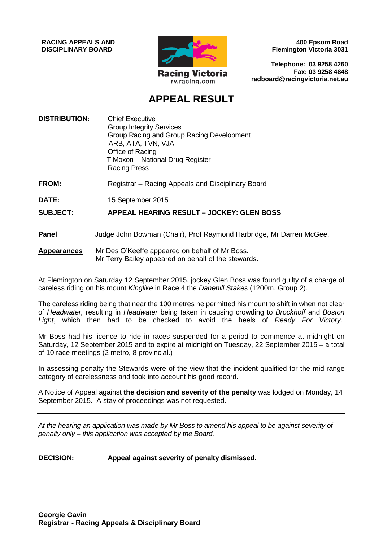**RACING APPEALS AND DISCIPLINARY BOARD**



**400 Epsom Road Flemington Victoria 3031**

**Telephone: 03 9258 4260 Fax: 03 9258 4848 radboard@racingvictoria.net.au**

## **APPEAL RESULT**

| <b>DISTRIBUTION:</b> | <b>Chief Executive</b><br><b>Group Integrity Services</b><br>Group Racing and Group Racing Development<br>ARB, ATA, TVN, VJA<br>Office of Racing<br>T Moxon - National Drug Register<br><b>Racing Press</b> |
|----------------------|-------------------------------------------------------------------------------------------------------------------------------------------------------------------------------------------------------------|
| FROM:                | Registrar - Racing Appeals and Disciplinary Board                                                                                                                                                           |
| DATE:                | 15 September 2015                                                                                                                                                                                           |
| <b>SUBJECT:</b>      | <b>APPEAL HEARING RESULT - JOCKEY: GLEN BOSS</b>                                                                                                                                                            |
| <b>Panel</b>         | Judge John Bowman (Chair), Prof Raymond Harbridge, Mr Darren McGee.                                                                                                                                         |
| <b>Appearances</b>   | Mr Des O'Keeffe appeared on behalf of Mr Boss.<br>Mr Terry Bailey appeared on behalf of the stewards.                                                                                                       |

At Flemington on Saturday 12 September 2015, jockey Glen Boss was found guilty of a charge of careless riding on his mount *Kinglike* in Race 4 the *Danehill Stakes* (1200m, Group 2).

The careless riding being that near the 100 metres he permitted his mount to shift in when not clear of *Headwater,* resulting in *Headwater* being taken in causing crowding to *Brockhoff* and *Boston Light*, which then had to be checked to avoid the heels of *Ready For Victory.*

Mr Boss had his licence to ride in races suspended for a period to commence at midnight on Saturday, 12 September 2015 and to expire at midnight on Tuesday, 22 September 2015 – a total of 10 race meetings (2 metro, 8 provincial.)

In assessing penalty the Stewards were of the view that the incident qualified for the mid-range category of carelessness and took into account his good record.

A Notice of Appeal against **the decision and severity of the penalty** was lodged on Monday, 14 September 2015. A stay of proceedings was not requested.

*At the hearing an application was made by Mr Boss to amend his appeal to be against severity of penalty only – this application was accepted by the Board.*

#### **DECISION: Appeal against severity of penalty dismissed.**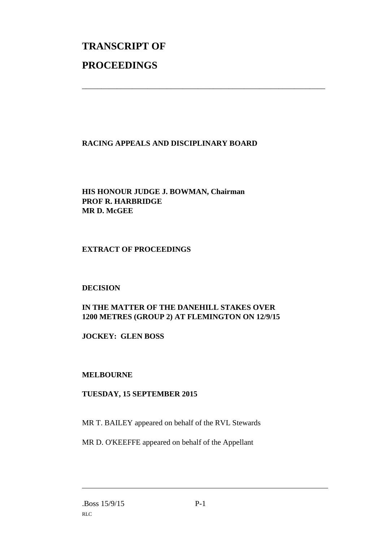# **TRANSCRIPT OF PROCEEDINGS**

#### **RACING APPEALS AND DISCIPLINARY BOARD**

\_\_\_\_\_\_\_\_\_\_\_\_\_\_\_\_\_\_\_\_\_\_\_\_\_\_\_\_\_\_\_\_\_\_\_\_\_\_\_\_\_\_\_\_\_\_\_\_\_\_\_\_\_\_\_\_\_\_\_\_\_\_\_

#### **HIS HONOUR JUDGE J. BOWMAN, Chairman PROF R. HARBRIDGE MR D. McGEE**

#### **EXTRACT OF PROCEEDINGS**

#### **DECISION**

### **IN THE MATTER OF THE DANEHILL STAKES OVER 1200 METRES (GROUP 2) AT FLEMINGTON ON 12/9/15**

**JOCKEY: GLEN BOSS**

#### **MELBOURNE**

#### **TUESDAY, 15 SEPTEMBER 2015**

MR T. BAILEY appeared on behalf of the RVL Stewards

MR D. O'KEEFFE appeared on behalf of the Appellant